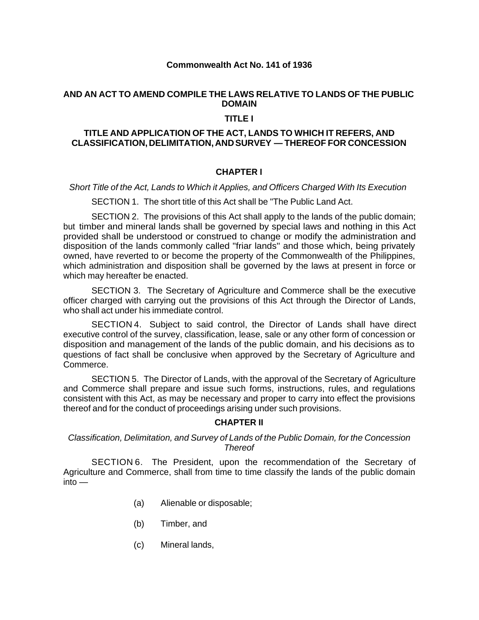### **Commonwealth Act No. 141 of 1936**

### **AND AN ACT TO AMEND COMPILE THE LAWS RELATIVE TO LANDS OF THE PUBLIC DOMAIN**

### **TITLE I**

### **TITLE AND APPLICATION OF THE ACT, LANDS TO WHICH IT REFERS, AND CLASSIFICATION, DELIMITATION, AND SURVEY — THEREOF FOR CONCESSION**

### **CHAPTER I**

*Short Title of the Act, Lands to Which it Applies, and Officers Charged With Its Execution*

SECTION 1. The short title of this Act shall be "The Public Land Act.

SECTION 2. The provisions of this Act shall apply to the lands of the public domain; but timber and mineral lands shall be governed by special laws and nothing in this Act provided shall be understood or construed to change or modify the administration and disposition of the lands commonly called "friar lands'' and those which, being privately owned, have reverted to or become the property of the Commonwealth of the Philippines, which administration and disposition shall be governed by the laws at present in force or which may hereafter be enacted.

SECTION 3. The Secretary of Agriculture and Commerce shall be the executive officer charged with carrying out the provisions of this Act through the Director of Lands, who shall act under his immediate control.

SECTION 4. Subject to said control, the Director of Lands shall have direct executive control of the survey, classification, lease, sale or any other form of concession or disposition and management of the lands of the public domain, and his decisions as to questions of fact shall be conclusive when approved by the Secretary of Agriculture and Commerce.

SECTION 5. The Director of Lands, with the approval of the Secretary of Agriculture and Commerce shall prepare and issue such forms, instructions, rules, and regulations consistent with this Act, as may be necessary and proper to carry into effect the provisions thereof and for the conduct of proceedings arising under such provisions.

### **CHAPTER II**

*Classification, Delimitation, and Survey of Lands of the Public Domain, for the Concession Thereof*

SECTION 6. The President, upon the recommendation of the Secretary of Agriculture and Commerce, shall from time to time classify the lands of the public domain  $into -$ 

- (a) Alienable or disposable;
- (b) Timber, and
- (c) Mineral lands,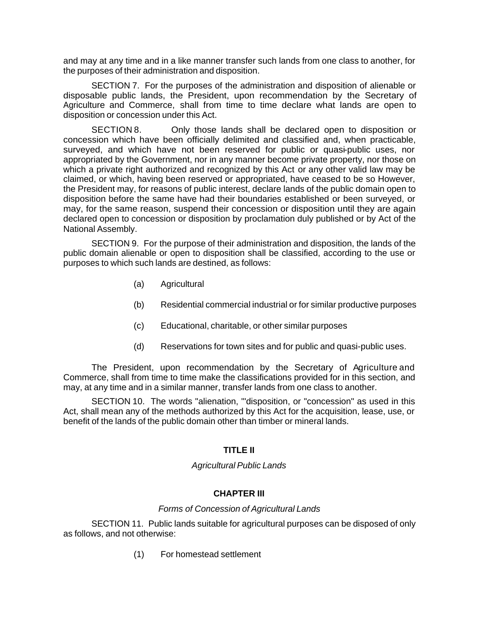and may at any time and in a like manner transfer such lands from one class to another, for the purposes of their administration and disposition.

SECTION 7. For the purposes of the administration and disposition of alienable or disposable public lands, the President, upon recommendation by the Secretary of Agriculture and Commerce, shall from time to time declare what lands are open to disposition or concession under this Act.

SECTION 8. Only those lands shall be declared open to disposition or concession which have been officially delimited and classified and, when practicable, surveyed, and which have not been reserved for public or quasi-public uses, nor appropriated by the Government, nor in any manner become private property, nor those on which a private right authorized and recognized by this Act or any other valid law may be claimed, or which, having been reserved or appropriated, have ceased to be so However, the President may, for reasons of public interest, declare lands of the public domain open to disposition before the same have had their boundaries established or been surveyed, or may, for the same reason, suspend their concession or disposition until they are again declared open to concession or disposition by proclamation duly published or by Act of the National Assembly.

SECTION 9. For the purpose of their administration and disposition, the lands of the public domain alienable or open to disposition shall be classified, according to the use or purposes to which such lands are destined, as follows:

- (a) Agricultural
- (b) Residential commercial industrial or for similar productive purposes
- (c) Educational, charitable, or other similar purposes
- (d) Reservations for town sites and for public and quasi-public uses.

The President, upon recommendation by the Secretary of Agriculture and Commerce, shall from time to time make the classifications provided for in this section, and may, at any time and in a similar manner, transfer lands from one class to another.

SECTION 10. The words "alienation, "'disposition, or "concession" as used in this Act, shall mean any of the methods authorized by this Act for the acquisition, lease, use, or benefit of the lands of the public domain other than timber or mineral lands.

# **TITLE II**

### *Agricultural Public Lands*

# **CHAPTER III**

### *Forms of Concession of Agricultural Lands*

SECTION 11. Public lands suitable for agricultural purposes can be disposed of only as follows, and not otherwise:

(1) For homestead settlement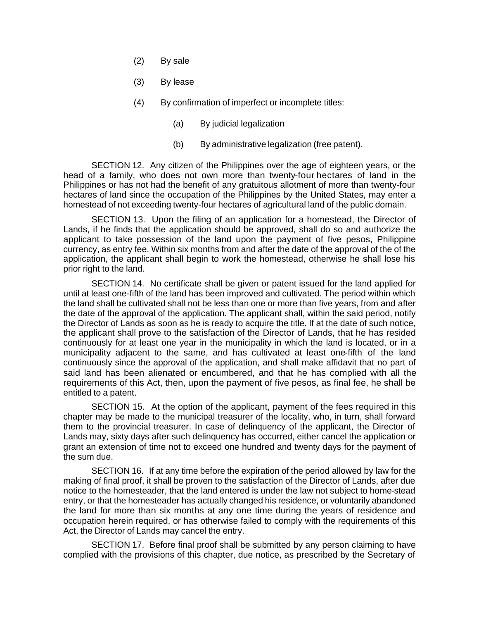- (2) By sale
- (3) By lease
- (4) By confirmation of imperfect or incomplete titles:
	- (a) By judicial legalization
	- (b) By administrative legalization (free patent).

SECTION 12. Any citizen of the Philippines over the age of eighteen years, or the head of a family, who does not own more than twenty-four hectares of land in the Philippines or has not had the benefit of any gratuitous allotment of more than twenty-four hectares of land since the occupation of the Philippines by the United States, may enter a homestead of not exceeding twenty-four hectares of agricultural land of the public domain.

SECTION 13. Upon the filing of an application for a homestead, the Director of Lands, if he finds that the application should be approved, shall do so and authorize the applicant to take possession of the land upon the payment of five pesos, Philippine currency, as entry fee. Within six months from and after the date of the approval of the of the application, the applicant shall begin to work the homestead, otherwise he shall lose his prior right to the land.

SECTION 14. No certificate shall be given or patent issued for the land applied for until at least one-fifth of the land has been improved and cultivated. The period within which the land shall be cultivated shall not be less than one or more than five years, from and after the date of the approval of the application. The applicant shall, within the said period, notify the Director of Lands as soon as he is ready to acquire the title. If at the date of such notice, the applicant shall prove to the satisfaction of the Director of Lands, that he has resided continuously for at least one year in the municipality in which the land is located, or in a municipality adjacent to the same, and has cultivated at least one-fifth of the land continuously since the approval of the application, and shall make affidavit that no part of said land has been alienated or encumbered, and that he has complied with all the requirements of this Act, then, upon the payment of five pesos, as final fee, he shall be entitled to a patent.

SECTION 15. At the option of the applicant, payment of the fees required in this chapter may be made to the municipal treasurer of the locality, who, in turn, shall forward them to the provincial treasurer. In case of delinquency of the applicant, the Director of Lands may, sixty days after such delinquency has occurred, either cancel the application or grant an extension of time not to exceed one hundred and twenty days for the payment of the sum due.

SECTION 16. If at any time before the expiration of the period allowed by law for the making of final proof, it shall be proven to the satisfaction of the Director of Lands, after due notice to the homesteader, that the land entered is under the law not subject to home-stead entry, or that the homesteader has actually changed his residence, or voluntarily abandoned the land for more than six months at any one time during the years of residence and occupation herein required, or has otherwise failed to comply with the requirements of this Act, the Director of Lands may cancel the entry.

SECTION 17. Before final proof shall be submitted by any person claiming to have complied with the provisions of this chapter, due notice, as prescribed by the Secretary of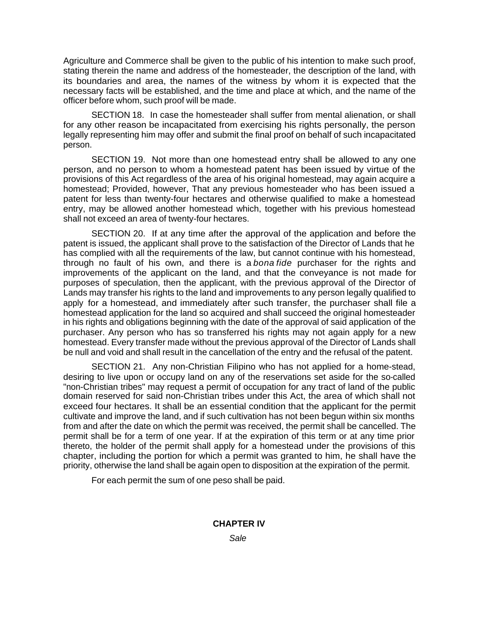Agriculture and Commerce shall be given to the public of his intention to make such proof, stating therein the name and address of the homesteader, the description of the land, with its boundaries and area, the names of the witness by whom it is expected that the necessary facts will be established, and the time and place at which, and the name of the officer before whom, such proof will be made.

SECTION 18. In case the homesteader shall suffer from mental alienation, or shall for any other reason be incapacitated from exercising his rights personally, the person legally representing him may offer and submit the final proof on behalf of such incapacitated person.

SECTION 19. Not more than one homestead entry shall be allowed to any one person, and no person to whom a homestead patent has been issued by virtue of the provisions of this Act regardless of the area of his original homestead, may again acquire a homestead; Provided, however, That any previous homesteader who has been issued a patent for less than twenty-four hectares and otherwise qualified to make a homestead entry, may be allowed another homestead which, together with his previous homestead shall not exceed an area of twenty-four hectares.

SECTION 20. If at any time after the approval of the application and before the patent is issued, the applicant shall prove to the satisfaction of the Director of Lands that he has complied with all the requirements of the law, but cannot continue with his homestead, through no fault of his own, and there is a *bona fide* purchaser for the rights and improvements of the applicant on the land, and that the conveyance is not made for purposes of speculation, then the applicant, with the previous approval of the Director of Lands may transfer his rights to the land and improvements to any person legally qualified to apply for a homestead, and immediately after such transfer, the purchaser shall file a homestead application for the land so acquired and shall succeed the original homesteader in his rights and obligations beginning with the date of the approval of said application of the purchaser. Any person who has so transferred his rights may not again apply for a new homestead. Every transfer made without the previous approval of the Director of Lands shall be null and void and shall result in the cancellation of the entry and the refusal of the patent.

SECTION 21. Any non-Christian Filipino who has not applied for a home-stead, desiring to live upon or occupy land on any of the reservations set aside for the so-called "non-Christian tribes" may request a permit of occupation for any tract of land of the public domain reserved for said non-Christian tribes under this Act, the area of which shall not exceed four hectares. It shall be an essential condition that the applicant for the permit cultivate and improve the land, and if such cultivation has not been begun within six months from and after the date on which the permit was received, the permit shall be cancelled. The permit shall be for a term of one year. If at the expiration of this term or at any time prior thereto, the holder of the permit shall apply for a homestead under the provisions of this chapter, including the portion for which a permit was granted to him, he shall have the priority, otherwise the land shall be again open to disposition at the expiration of the permit.

For each permit the sum of one peso shall be paid.

# **CHAPTER IV**

*Sale*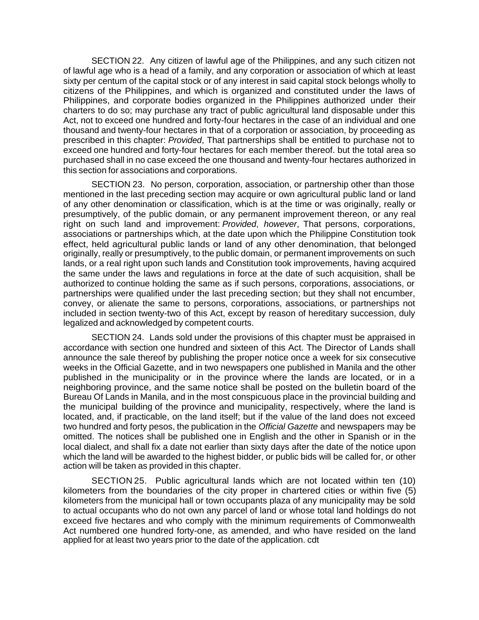SECTION 22. Any citizen of lawful age of the Philippines, and any such citizen not of lawful age who is a head of a family, and any corporation or association of which at least sixty per centum of the capital stock or of any interest in said capital stock belongs wholly to citizens of the Philippines, and which is organized and constituted under the laws of Philippines, and corporate bodies organized in the Philippines authorized under their charters to do so; may purchase any tract of public agricultural land disposable under this Act, not to exceed one hundred and forty-four hectares in the case of an individual and one thousand and twenty-four hectares in that of a corporation or association, by proceeding as prescribed in this chapter: *Provided*, That partnerships shall be entitled to purchase not to exceed one hundred and forty-four hectares for each member thereof. but the total area so purchased shall in no case exceed the one thousand and twenty-four hectares authorized in this section for associations and corporations.

SECTION 23. No person, corporation, association, or partnership other than those mentioned in the last preceding section may acquire or own agricultural public land or land of any other denomination or classification, which is at the time or was originally, really or presumptively, of the public domain, or any permanent improvement thereon, or any real right on such land and improvement: *Provided*, *however*, That persons, corporations, associations or partnerships which, at the date upon which the Philippine Constitution took effect, held agricultural public lands or land of any other denomination, that belonged originally, really or presumptively, to the public domain, or permanent improvements on such lands, or a real right upon such lands and Constitution took improvements, having acquired the same under the laws and regulations in force at the date of such acquisition, shall be authorized to continue holding the same as if such persons, corporations, associations, or partnerships were qualified under the last preceding section; but they shall not encumber, convey, or alienate the same to persons, corporations, associations, or partnerships not included in section twenty-two of this Act, except by reason of hereditary succession, duly legalized and acknowledged by competent courts.

SECTION 24. Lands sold under the provisions of this chapter must be appraised in accordance with section one hundred and sixteen of this Act. The Director of Lands shall announce the sale thereof by publishing the proper notice once a week for six consecutive weeks in the Official Gazette, and in two newspapers one published in Manila and the other published in the municipality or in the province where the lands are located, or in a neighboring province, and the same notice shall be posted on the bulletin board of the Bureau Of Lands in Manila, and in the most conspicuous place in the provincial building and the municipal building of the province and municipality, respectively, where the land is located, and, if practicable, on the land itself; but if the value of the land does not exceed two hundred and forty pesos, the publication in the *Official Gazette* and newspapers may be omitted. The notices shall be published one in English and the other in Spanish or in the local dialect, and shall fix a date not earlier than sixty days after the date of the notice upon which the land will be awarded to the highest bidder, or public bids will be called for, or other action will be taken as provided in this chapter.

SECTION 25. Public agricultural lands which are not located within ten (10) kilometers from the boundaries of the city proper in chartered cities or within five (5) kilometers from the municipal hall or town occupants plaza of any municipality may be sold to actual occupants who do not own any parcel of land or whose total land holdings do not exceed five hectares and who comply with the minimum requirements of Commonwealth Act numbered one hundred forty-one, as amended, and who have resided on the land applied for at least two years prior to the date of the application. cdt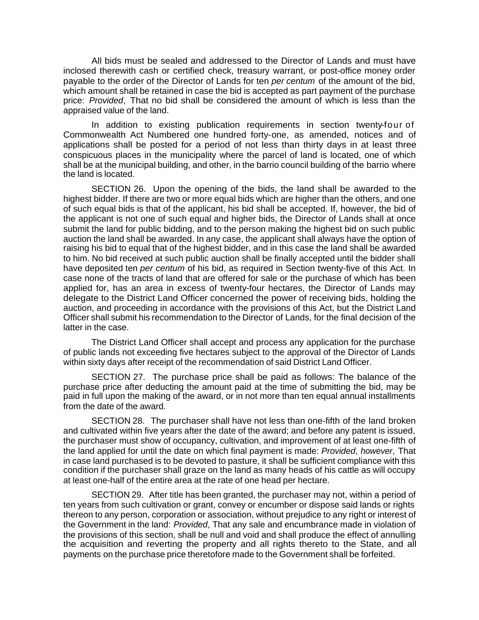All bids must be sealed and addressed to the Director of Lands and must have inclosed therewith cash or certified check, treasury warrant, or post-office money order payable to the order of the Director of Lands for ten *per centum* of the amount of the bid, which amount shall be retained in case the bid is accepted as part payment of the purchase price: *Provided*, That no bid shall be considered the amount of which is less than the appraised value of the land.

In addition to existing publication requirements in section twenty-four of Commonwealth Act Numbered one hundred forty-one, as amended, notices and of applications shall be posted for a period of not less than thirty days in at least three conspicuous places in the municipality where the parcel of land is located, one of which shall be at the municipal building, and other, in the barrio council building of the barrio where the land is located.

SECTION 26. Upon the opening of the bids, the land shall be awarded to the highest bidder. If there are two or more equal bids which are higher than the others, and one of such equal bids is that of the applicant, his bid shall be accepted. If, however, the bid of the applicant is not one of such equal and higher bids, the Director of Lands shall at once submit the land for public bidding, and to the person making the highest bid on such public auction the land shall be awarded. In any case, the applicant shall always have the option of raising his bid to equal that of the highest bidder, and in this case the land shall be awarded to him. No bid received at such public auction shall be finally accepted until the bidder shall have deposited ten *per centum* of his bid, as required in Section twenty-five of this Act. In case none of the tracts of land that are offered for sale or the purchase of which has been applied for, has an area in excess of twenty-four hectares, the Director of Lands may delegate to the District Land Officer concerned the power of receiving bids, holding the auction, and proceeding in accordance with the provisions of this Act, but the District Land Officer shall submit his recommendation to the Director of Lands, for the final decision of the latter in the case.

The District Land Officer shall accept and process any application for the purchase of public lands not exceeding five hectares subject to the approval of the Director of Lands within sixty days after receipt of the recommendation of said District Land Officer.

SECTION 27. The purchase price shall be paid as follows: The balance of the purchase price after deducting the amount paid at the time of submitting the bid, may be paid in full upon the making of the award, or in not more than ten equal annual installments from the date of the award.

SECTION 28. The purchaser shall have not less than one-fifth of the land broken and cultivated within five years after the date of the award; and before any patent is issued, the purchaser must show of occupancy, cultivation, and improvement of at least one-fifth of the land applied for until the date on which final payment is made: *Provided*, *however*, That in case land purchased is to be devoted to pasture, it shall be sufficient compliance with this condition if the purchaser shall graze on the land as many heads of his cattle as will occupy at least one-half of the entire area at the rate of one head per hectare.

SECTION 29. After title has been granted, the purchaser may not, within a period of ten years from such cultivation or grant, convey or encumber or dispose said lands or rights thereon to any person, corporation or association, without prejudice to any right or interest of the Government in the land: *Provided*, That any sale and encumbrance made in violation of the provisions of this section, shall be null and void and shall produce the effect of annulling the acquisition and reverting the property and all rights thereto to the State, and all payments on the purchase price theretofore made to the Government shall be forfeited.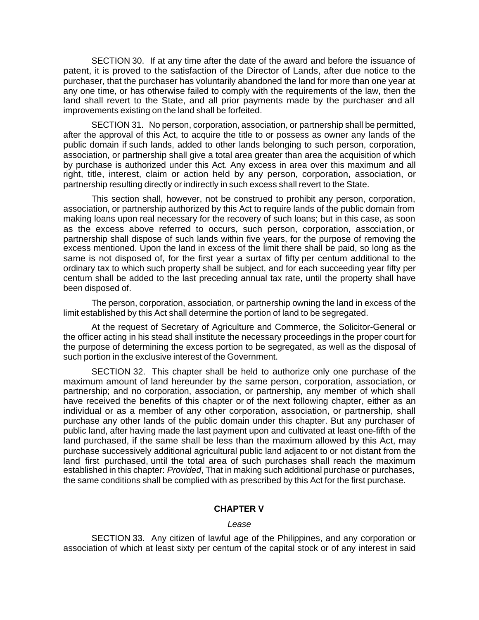SECTION 30. If at any time after the date of the award and before the issuance of patent, it is proved to the satisfaction of the Director of Lands, after due notice to the purchaser, that the purchaser has voluntarily abandoned the land for more than one year at any one time, or has otherwise failed to comply with the requirements of the law, then the land shall revert to the State, and all prior payments made by the purchaser and all improvements existing on the land shall be forfeited.

SECTION 31. No person, corporation, association, or partnership shall be permitted, after the approval of this Act, to acquire the title to or possess as owner any lands of the public domain if such lands, added to other lands belonging to such person, corporation, association, or partnership shall give a total area greater than area the acquisition of which by purchase is authorized under this Act. Any excess in area over this maximum and all right, title, interest, claim or action held by any person, corporation, association, or partnership resulting directly or indirectly in such excess shall revert to the State.

This section shall, however, not be construed to prohibit any person, corporation, association, or partnership authorized by this Act to require lands of the public domain from making loans upon real necessary for the recovery of such loans; but in this case, as soon as the excess above referred to occurs, such person, corporation, association, or partnership shall dispose of such lands within five years, for the purpose of removing the excess mentioned. Upon the land in excess of the limit there shall be paid, so long as the same is not disposed of, for the first year a surtax of fifty per centum additional to the ordinary tax to which such property shall be subject, and for each succeeding year fifty per centum shall be added to the last preceding annual tax rate, until the property shall have been disposed of.

The person, corporation, association, or partnership owning the land in excess of the limit established by this Act shall determine the portion of land to be segregated.

At the request of Secretary of Agriculture and Commerce, the Solicitor-General or the officer acting in his stead shall institute the necessary proceedings in the proper court for the purpose of determining the excess portion to be segregated, as well as the disposal of such portion in the exclusive interest of the Government.

SECTION 32. This chapter shall be held to authorize only one purchase of the maximum amount of land hereunder by the same person, corporation, association, or partnership; and no corporation, association, or partnership, any member of which shall have received the benefits of this chapter or of the next following chapter, either as an individual or as a member of any other corporation, association, or partnership, shall purchase any other lands of the public domain under this chapter. But any purchaser of public land, after having made the last payment upon and cultivated at least one-fifth of the land purchased, if the same shall be less than the maximum allowed by this Act, may purchase successively additional agricultural public land adjacent to or not distant from the land first purchased, until the total area of such purchases shall reach the maximum established in this chapter: *Provided*, That in making such additional purchase or purchases, the same conditions shall be complied with as prescribed by this Act for the first purchase.

### **CHAPTER V**

#### *Lease*

SECTION 33. Any citizen of lawful age of the Philippines, and any corporation or association of which at least sixty per centum of the capital stock or of any interest in said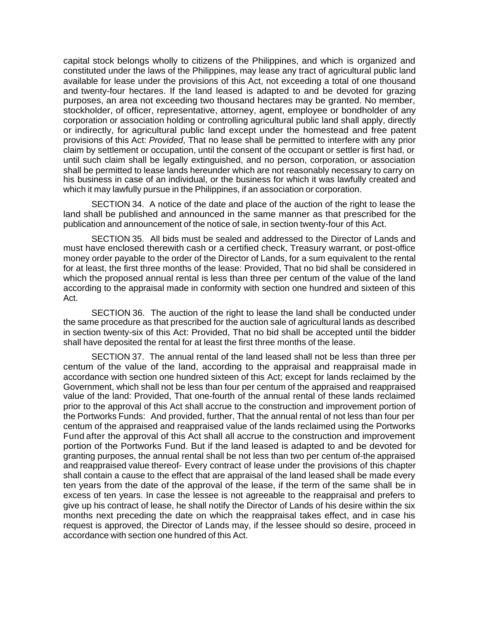capital stock belongs wholly to citizens of the Philippines, and which is organized and constituted under the laws of the Philippines, may lease any tract of agricultural public land available for lease under the provisions of this Act, not exceeding a total of one thousand and twenty-four hectares. If the land leased is adapted to and be devoted for grazing purposes, an area not exceeding two thousand hectares may be granted. No member, stockholder, of officer, representative, attorney, agent, employee or bondholder of any corporation or association holding or controlling agricultural public land shall apply, directly or indirectly, for agricultural public land except under the homestead and free patent provisions of this Act: *Provided*, That no lease shall be permitted to interfere with any prior claim by settlement or occupation, until the consent of the occupant or settler is first had, or until such claim shall be legally extinguished, and no person, corporation, or association shall be permitted to lease lands hereunder which are not reasonably necessary to carry on his business in case of an individual, or the business for which it was lawfully created and which it may lawfully pursue in the Philippines, if an association or corporation.

SECTION 34. A notice of the date and place of the auction of the right to lease the land shall be published and announced in the same manner as that prescribed for the publication and announcement of the notice of sale, in section twenty-four of this Act.

SECTION 35. All bids must be sealed and addressed to the Director of Lands and must have enclosed therewith cash or a certified check, Treasury warrant, or post-office money order payable to the order of the Director of Lands, for a sum equivalent to the rental for at least, the first three months of the lease: Provided, That no bid shall be considered in which the proposed annual rental is less than three per centum of the value of the land according to the appraisal made in conformity with section one hundred and sixteen of this Act.

SECTION 36. The auction of the right to lease the land shall be conducted under the same procedure as that prescribed for the auction sale of agricultural lands as described in section twenty-six of this Act: Provided, That no bid shall be accepted until the bidder shall have deposited the rental for at least the first three months of the lease.

SECTION 37. The annual rental of the land leased shall not be less than three per centum of the value of the land, according to the appraisal and reappraisal made in accordance with section one hundred sixteen of this Act; except for lands reclaimed by the Government, which shall not be less than four per centum of the appraised and reappraised value of the land: Provided, That one-fourth of the annual rental of these lands reclaimed prior to the approval of this Act shall accrue to the construction and improvement portion of the Portworks Funds: And provided, further, That the annual rental of not less than four per centum of the appraised and reappraised value of the lands reclaimed using the Portworks Fund after the approval of this Act shall all accrue to the construction and improvement portion of the Portworks Fund. But if the land leased is adapted to and be devoted for granting purposes, the annual rental shall be not less than two per centum of-the appraised and reappraised value thereof- Every contract of lease under the provisions of this chapter shall contain a cause to the effect that are appraisal of the land leased shall be made every ten years from the date of the approval of the lease, if the term of the same shall be in excess of ten years. In case the lessee is not agreeable to the reappraisal and prefers to give up his contract of lease, he shall notify the Director of Lands of his desire within the six months next preceding the date on which the reappraisal takes effect, and in case his request is approved, the Director of Lands may, if the lessee should so desire, proceed in accordance with section one hundred of this Act.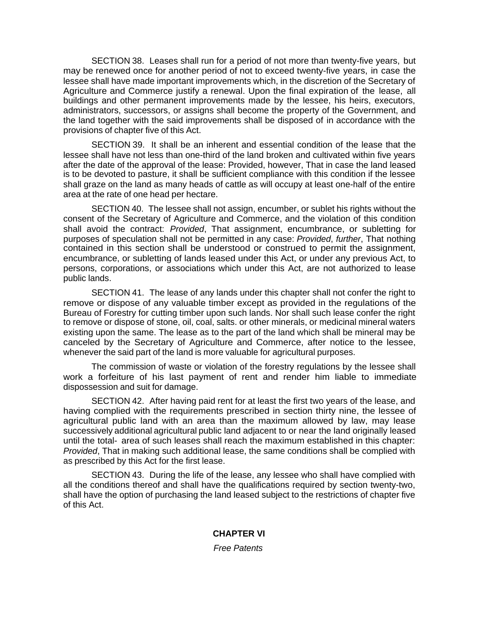SECTION 38. Leases shall run for a period of not more than twenty-five years, but may be renewed once for another period of not to exceed twenty-five years, in case the lessee shall have made important improvements which, in the discretion of the Secretary of Agriculture and Commerce justify a renewal. Upon the final expiration of the lease, all buildings and other permanent improvements made by the lessee, his heirs, executors, administrators, successors, or assigns shall become the property of the Government, and the land together with the said improvements shall be disposed of in accordance with the provisions of chapter five of this Act.

SECTION 39. It shall be an inherent and essential condition of the lease that the lessee shall have not less than one-third of the land broken and cultivated within five years after the date of the approval of the lease: Provided, however, That in case the land leased is to be devoted to pasture, it shall be sufficient compliance with this condition if the lessee shall graze on the land as many heads of cattle as will occupy at least one-half of the entire area at the rate of one head per hectare.

SECTION 40. The lessee shall not assign, encumber, or sublet his rights without the consent of the Secretary of Agriculture and Commerce, and the violation of this condition shall avoid the contract: *Provided*, That assignment, encumbrance, or subletting for purposes of speculation shall not be permitted in any case: *Provided*, *further*, That nothing contained in this section shall be understood or construed to permit the assignment, encumbrance, or subletting of lands leased under this Act, or under any previous Act, to persons, corporations, or associations which under this Act, are not authorized to lease public lands.

SECTION 41. The lease of any lands under this chapter shall not confer the right to remove or dispose of any valuable timber except as provided in the regulations of the Bureau of Forestry for cutting timber upon such lands. Nor shall such lease confer the right to remove or dispose of stone, oil, coal, salts. or other minerals, or medicinal mineral waters existing upon the same. The lease as to the part of the land which shall be mineral may be canceled by the Secretary of Agriculture and Commerce, after notice to the lessee, whenever the said part of the land is more valuable for agricultural purposes.

The commission of waste or violation of the forestry regulations by the lessee shall work a forfeiture of his last payment of rent and render him liable to immediate dispossession and suit for damage.

SECTION 42. After having paid rent for at least the first two years of the lease, and having complied with the requirements prescribed in section thirty nine, the lessee of agricultural public land with an area than the maximum allowed by law, may lease successively additional agricultural public land adjacent to or near the land originally leased until the total- area of such leases shall reach the maximum established in this chapter: *Provided*, That in making such additional lease, the same conditions shall be complied with as prescribed by this Act for the first lease.

SECTION 43. During the life of the lease, any lessee who shall have complied with all the conditions thereof and shall have the qualifications required by section twenty-two, shall have the option of purchasing the land leased subject to the restrictions of chapter five of this Act.

# **CHAPTER VI**

*Free Patents*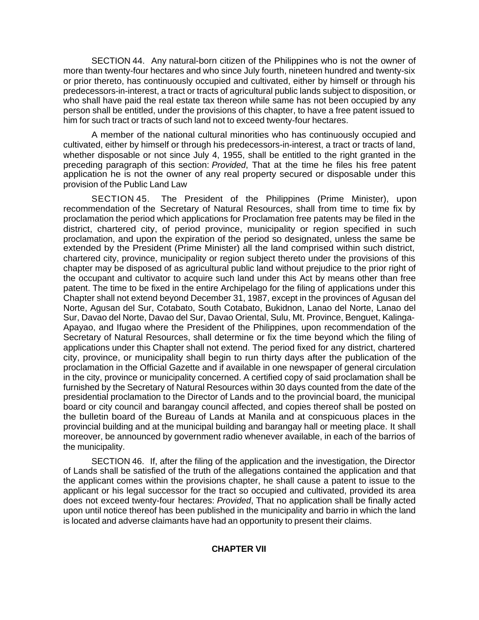SECTION 44. Any natural-born citizen of the Philippines who is not the owner of more than twenty-four hectares and who since July fourth, nineteen hundred and twenty-six or prior thereto, has continuously occupied and cultivated, either by himself or through his predecessors-in-interest, a tract or tracts of agricultural public lands subject to disposition, or who shall have paid the real estate tax thereon while same has not been occupied by any person shall be entitled, under the provisions of this chapter, to have a free patent issued to him for such tract or tracts of such land not to exceed twenty-four hectares.

A member of the national cultural minorities who has continuously occupied and cultivated, either by himself or through his predecessors-in-interest, a tract or tracts of land, whether disposable or not since July 4, 1955, shall be entitled to the right granted in the preceding paragraph of this section: *Provided*, That at the time he files his free patent application he is not the owner of any real property secured or disposable under this provision of the Public Land Law

SECTION 45. The President of the Philippines (Prime Minister), upon recommendation of the Secretary of Natural Resources, shall from time to time fix by proclamation the period which applications for Proclamation free patents may be filed in the district, chartered city, of period province, municipality or region specified in such proclamation, and upon the expiration of the period so designated, unless the same be extended by the President (Prime Minister) all the land comprised within such district, chartered city, province, municipality or region subject thereto under the provisions of this chapter may be disposed of as agricultural public land without prejudice to the prior right of the occupant and cultivator to acquire such land under this Act by means other than free patent. The time to be fixed in the entire Archipelago for the filing of applications under this Chapter shall not extend beyond December 31, 1987, except in the provinces of Agusan del Norte, Agusan del Sur, Cotabato, South Cotabato, Bukidnon, Lanao del Norte, Lanao del Sur, Davao del Norte, Davao del Sur, Davao Oriental, Sulu, Mt. Province, Benguet, Kalinga-Apayao, and Ifugao where the President of the Philippines, upon recommendation of the Secretary of Natural Resources, shall determine or fix the time beyond which the filing of applications under this Chapter shall not extend. The period fixed for any district, chartered city, province, or municipality shall begin to run thirty days after the publication of the proclamation in the Official Gazette and if available in one newspaper of general circulation in the city, province or municipality concerned. A certified copy of said proclamation shall be furnished by the Secretary of Natural Resources within 30 days counted from the date of the presidential proclamation to the Director of Lands and to the provincial board, the municipal board or city council and barangay council affected, and copies thereof shall be posted on the bulletin board of the Bureau of Lands at Manila and at conspicuous places in the provincial building and at the municipal building and barangay hall or meeting place. It shall moreover, be announced by government radio whenever available, in each of the barrios of the municipality.

SECTION 46. If, after the filing of the application and the investigation, the Director of Lands shall be satisfied of the truth of the allegations contained the application and that the applicant comes within the provisions chapter, he shall cause a patent to issue to the applicant or his legal successor for the tract so occupied and cultivated, provided its area does not exceed twenty-four hectares: *Provided*, That no application shall be finally acted upon until notice thereof has been published in the municipality and barrio in which the land is located and adverse claimants have had an opportunity to present their claims.

# **CHAPTER VII**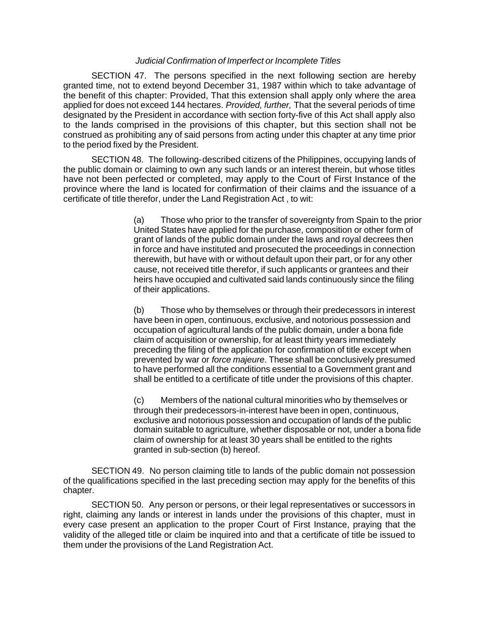### *Judicial Confirmation of Imperfect or Incomplete Titles*

SECTION 47. The persons specified in the next following section are hereby granted time, not to extend beyond December 31, 1987 within which to take advantage of the benefit of this chapter: Provided, That this extension shall apply only where the area applied for does not exceed 144 hectares. *Provided, further,* That the several periods of time designated by the President in accordance with section forty-five of this Act shall apply also to the lands comprised in the provisions of this chapter, but this section shall not be construed as prohibiting any of said persons from acting under this chapter at any time prior to the period fixed by the President.

SECTION 48. The following-described citizens of the Philippines, occupying lands of the public domain or claiming to own any such lands or an interest therein, but whose titles have not been perfected or completed, may apply to the Court of First Instance of the province where the land is located for confirmation of their claims and the issuance of a certificate of title therefor, under the Land Registration Act , to wit:

> (a) Those who prior to the transfer of sovereignty from Spain to the prior United States have applied for the purchase, composition or other form of grant of lands of the public domain under the laws and royal decrees then in force and have instituted and prosecuted the proceedings in connection therewith, but have with or without default upon their part, or for any other cause, not received title therefor, if such applicants or grantees and their heirs have occupied and cultivated said lands continuously since the filing of their applications.

(b) Those who by themselves or through their predecessors in interest have been in open, continuous, exclusive, and notorious possession and occupation of agricultural lands of the public domain, under a bona fide claim of acquisition or ownership, for at least thirty years immediately preceding the filing of the application for confirmation of title except when prevented by war or *force majeure*. These shall be conclusively presumed to have performed all the conditions essential to a Government grant and shall be entitled to a certificate of title under the provisions of this chapter.

(c) Members of the national cultural minorities who by themselves or through their predecessors-in-interest have been in open, continuous, exclusive and notorious possession and occupation of lands of the public domain suitable to agriculture, whether disposable or not, under a bona fide claim of ownership for at least 30 years shall be entitled to the rights granted in sub-section (b) hereof.

SECTION 49. No person claiming title to lands of the public domain not possession of the qualifications specified in the last preceding section may apply for the benefits of this chapter.

SECTION 50. Any person or persons, or their legal representatives or successors in right, claiming any lands or interest in lands under the provisions of this chapter, must in every case present an application to the proper Court of First Instance, praying that the validity of the alleged title or claim be inquired into and that a certificate of title be issued to them under the provisions of the Land Registration Act.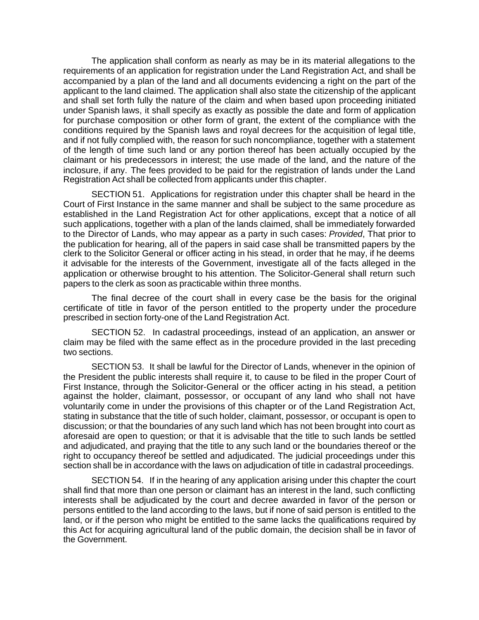The application shall conform as nearly as may be in its material allegations to the requirements of an application for registration under the Land Registration Act, and shall be accompanied by a plan of the land and all documents evidencing a right on the part of the applicant to the land claimed. The application shall also state the citizenship of the applicant and shall set forth fully the nature of the claim and when based upon proceeding initiated under Spanish laws, it shall specify as exactly as possible the date and form of application for purchase composition or other form of grant, the extent of the compliance with the conditions required by the Spanish laws and royal decrees for the acquisition of legal title, and if not fully complied with, the reason for such noncompliance, together with a statement of the length of time such land or any portion thereof has been actually occupied by the claimant or his predecessors in interest; the use made of the land, and the nature of the inclosure, if any. The fees provided to be paid for the registration of lands under the Land Registration Act shall be collected from applicants under this chapter.

SECTION 51. Applications for registration under this chapter shall be heard in the Court of First Instance in the same manner and shall be subject to the same procedure as established in the Land Registration Act for other applications, except that a notice of all such applications, together with a plan of the lands claimed, shall be immediately forwarded to the Director of Lands, who may appear as a party in such cases: *Provided*, That prior to the publication for hearing, all of the papers in said case shall be transmitted papers by the clerk to the Solicitor General or officer acting in his stead, in order that he may, if he deems it advisable for the interests of the Government, investigate all of the facts alleged in the application or otherwise brought to his attention. The Solicitor-General shall return such papers to the clerk as soon as practicable within three months.

The final decree of the court shall in every case be the basis for the original certificate of title in favor of the person entitled to the property under the procedure prescribed in section forty-one of the Land Registration Act.

SECTION 52. In cadastral proceedings, instead of an application, an answer or claim may be filed with the same effect as in the procedure provided in the last preceding two sections.

SECTION 53. It shall be lawful for the Director of Lands, whenever in the opinion of the President the public interests shall require it, to cause to be filed in the proper Court of First Instance, through the Solicitor-General or the officer acting in his stead, a petition against the holder, claimant, possessor, or occupant of any land who shall not have voluntarily come in under the provisions of this chapter or of the Land Registration Act, stating in substance that the title of such holder, claimant, possessor, or occupant is open to discussion; or that the boundaries of any such land which has not been brought into court as aforesaid are open to question; or that it is advisable that the title to such lands be settled and adjudicated, and praying that the title to any such land or the boundaries thereof or the right to occupancy thereof be settled and adjudicated. The judicial proceedings under this section shall be in accordance with the laws on adjudication of title in cadastral proceedings.

SECTION 54. If in the hearing of any application arising under this chapter the court shall find that more than one person or claimant has an interest in the land, such conflicting interests shall be adjudicated by the court and decree awarded in favor of the person or persons entitled to the land according to the laws, but if none of said person is entitled to the land, or if the person who might be entitled to the same lacks the qualifications required by this Act for acquiring agricultural land of the public domain, the decision shall be in favor of the Government.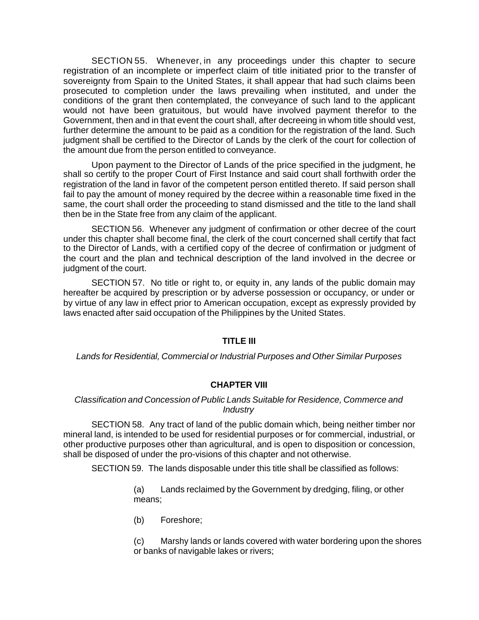SECTION 55. Whenever, in any proceedings under this chapter to secure registration of an incomplete or imperfect claim of title initiated prior to the transfer of sovereignty from Spain to the United States, it shall appear that had such claims been prosecuted to completion under the laws prevailing when instituted, and under the conditions of the grant then contemplated, the conveyance of such land to the applicant would not have been gratuitous, but would have involved payment therefor to the Government, then and in that event the court shall, after decreeing in whom title should vest, further determine the amount to be paid as a condition for the registration of the land. Such judgment shall be certified to the Director of Lands by the clerk of the court for collection of the amount due from the person entitled to conveyance.

Upon payment to the Director of Lands of the price specified in the judgment, he shall so certify to the proper Court of First Instance and said court shall forthwith order the registration of the land in favor of the competent person entitled thereto. If said person shall fail to pay the amount of money required by the decree within a reasonable time fixed in the same, the court shall order the proceeding to stand dismissed and the title to the land shall then be in the State free from any claim of the applicant.

SECTION 56. Whenever any judgment of confirmation or other decree of the court under this chapter shall become final, the clerk of the court concerned shall certify that fact to the Director of Lands, with a certified copy of the decree of confirmation or judgment of the court and the plan and technical description of the land involved in the decree or judgment of the court.

SECTION 57. No title or right to, or equity in, any lands of the public domain may hereafter be acquired by prescription or by adverse possession or occupancy, or under or by virtue of any law in effect prior to American occupation, except as expressly provided by laws enacted after said occupation of the Philippines by the United States.

### **TITLE III**

*Lands for Residential, Commercial or Industrial Purposes and Other Similar Purposes*

# **CHAPTER VIII**

## *Classification and Concession of Public Lands Suitable for Residence, Commerce and Industry*

SECTION 58. Any tract of land of the public domain which, being neither timber nor mineral land, is intended to be used for residential purposes or for commercial, industrial, or other productive purposes other than agricultural, and is open to disposition or concession, shall be disposed of under the pro-visions of this chapter and not otherwise.

SECTION 59. The lands disposable under this title shall be classified as follows:

(a) Lands reclaimed by the Government by dredging, filing, or other means;

(b) Foreshore;

(c) Marshy lands or lands covered with water bordering upon the shores or banks of navigable lakes or rivers;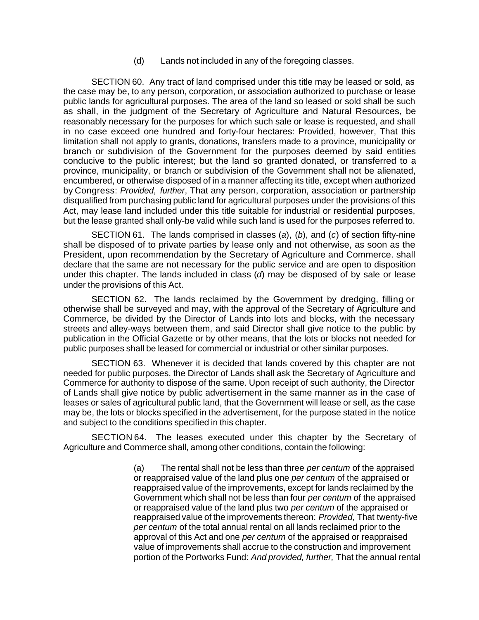(d) Lands not included in any of the foregoing classes.

SECTION 60. Any tract of land comprised under this title may be leased or sold, as the case may be, to any person, corporation, or association authorized to purchase or lease public lands for agricultural purposes. The area of the land so leased or sold shall be such as shall, in the judgment of the Secretary of Agriculture and Natural Resources, be reasonably necessary for the purposes for which such sale or lease is requested, and shall in no case exceed one hundred and forty-four hectares: Provided, however, That this limitation shall not apply to grants, donations, transfers made to a province, municipality or branch or subdivision of the Government for the purposes deemed by said entities conducive to the public interest; but the land so granted donated, or transferred to a province, municipality, or branch or subdivision of the Government shall not be alienated, encumbered, or otherwise disposed of in a manner affecting its title, except when authorized by Congress: *Provided*, *further*, That any person, corporation, association or partnership disqualified from purchasing public land for agricultural purposes under the provisions of this Act, may lease land included under this title suitable for industrial or residential purposes, but the lease granted shall only-be valid while such land is used for the purposes referred to.

SECTION 61. The lands comprised in classes (*a*), (*b*), and (*c*) of section fifty-nine shall be disposed of to private parties by lease only and not otherwise, as soon as the President, upon recommendation by the Secretary of Agriculture and Commerce. shall declare that the same are not necessary for the public service and are open to disposition under this chapter. The lands included in class (*d*) may be disposed of by sale or lease under the provisions of this Act.

SECTION 62. The lands reclaimed by the Government by dredging, filling or otherwise shall be surveyed and may, with the approval of the Secretary of Agriculture and Commerce, be divided by the Director of Lands into lots and blocks, with the necessary streets and alley-ways between them, and said Director shall give notice to the public by publication in the Official Gazette or by other means, that the lots or blocks not needed for public purposes shall be leased for commercial or industrial or other similar purposes.

SECTION 63. Whenever it is decided that lands covered by this chapter are not needed for public purposes, the Director of Lands shall ask the Secretary of Agriculture and Commerce for authority to dispose of the same. Upon receipt of such authority, the Director of Lands shall give notice by public advertisement in the same manner as in the case of leases or sales of agricultural public land, that the Government will lease or sell, as the case may be, the lots or blocks specified in the advertisement, for the purpose stated in the notice and subject to the conditions specified in this chapter.

SECTION 64. The leases executed under this chapter by the Secretary of Agriculture and Commerce shall, among other conditions, contain the following:

> (a) The rental shall not be less than three *per centum* of the appraised or reappraised value of the land plus one *per centum* of the appraised or reappraised value of the improvements, except for lands reclaimed by the Government which shall not be less than four *per centum* of the appraised or reappraised value of the land plus two *per centum* of the appraised or reappraised value of the improvements thereon: *Provided*, That twenty-five *per centum* of the total annual rental on all lands reclaimed prior to the approval of this Act and one *per centum* of the appraised or reappraised value of improvements shall accrue to the construction and improvement portion of the Portworks Fund: *And provided, further,* That the annual rental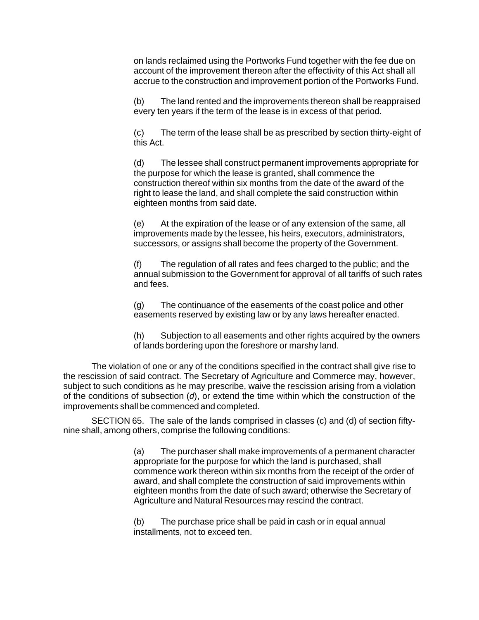on lands reclaimed using the Portworks Fund together with the fee due on account of the improvement thereon after the effectivity of this Act shall all accrue to the construction and improvement portion of the Portworks Fund.

(b) The land rented and the improvements thereon shall be reappraised every ten years if the term of the lease is in excess of that period.

(c) The term of the lease shall be as prescribed by section thirty-eight of this Act.

(d) The lessee shall construct permanent improvements appropriate for the purpose for which the lease is granted, shall commence the construction thereof within six months from the date of the award of the right to lease the land, and shall complete the said construction within eighteen months from said date.

(e) At the expiration of the lease or of any extension of the same, all improvements made by the lessee, his heirs, executors, administrators, successors, or assigns shall become the property of the Government.

(f) The regulation of all rates and fees charged to the public; and the annual submission to the Government for approval of all tariffs of such rates and fees.

(g) The continuance of the easements of the coast police and other easements reserved by existing law or by any laws hereafter enacted.

(h) Subjection to all easements and other rights acquired by the owners of lands bordering upon the foreshore or marshy land.

The violation of one or any of the conditions specified in the contract shall give rise to the rescission of said contract. The Secretary of Agriculture and Commerce may, however, subject to such conditions as he may prescribe, waive the rescission arising from a violation of the conditions of subsection (*d*), or extend the time within which the construction of the improvements shall be commenced and completed.

SECTION 65. The sale of the lands comprised in classes (c) and (d) of section fiftynine shall, among others, comprise the following conditions:

> (a) The purchaser shall make improvements of a permanent character appropriate for the purpose for which the land is purchased, shall commence work thereon within six months from the receipt of the order of award, and shall complete the construction of said improvements within eighteen months from the date of such award; otherwise the Secretary of Agriculture and Natural Resources may rescind the contract.

(b) The purchase price shall be paid in cash or in equal annual installments, not to exceed ten.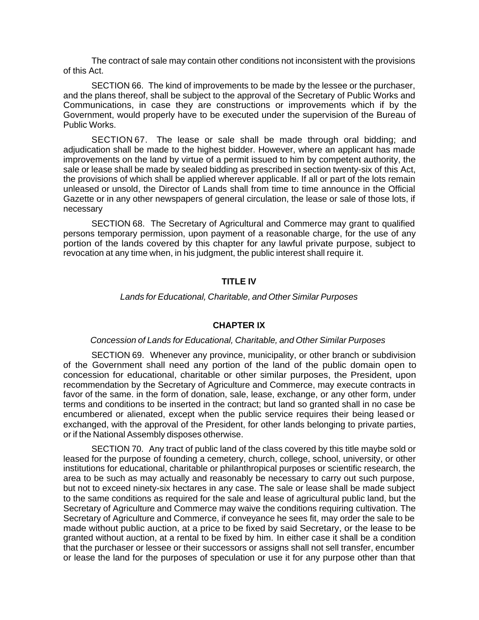The contract of sale may contain other conditions not inconsistent with the provisions of this Act.

SECTION 66. The kind of improvements to be made by the lessee or the purchaser, and the plans thereof, shall be subject to the approval of the Secretary of Public Works and Communications, in case they are constructions or improvements which if by the Government, would properly have to be executed under the supervision of the Bureau of Public Works.

SECTION 67. The lease or sale shall be made through oral bidding; and adjudication shall be made to the highest bidder. However, where an applicant has made improvements on the land by virtue of a permit issued to him by competent authority, the sale or lease shall be made by sealed bidding as prescribed in section twenty-six of this Act, the provisions of which shall be applied wherever applicable. If all or part of the lots remain unleased or unsold, the Director of Lands shall from time to time announce in the Official Gazette or in any other newspapers of general circulation, the lease or sale of those lots, if necessary

SECTION 68. The Secretary of Agricultural and Commerce may grant to qualified persons temporary permission, upon payment of a reasonable charge, for the use of any portion of the lands covered by this chapter for any lawful private purpose, subject to revocation at any time when, in his judgment, the public interest shall require it.

# **TITLE IV**

### *Lands for Educational, Charitable, and Other Similar Purposes*

### **CHAPTER IX**

#### *Concession of Lands for Educational, Charitable, and Other Similar Purposes*

SECTION 69. Whenever any province, municipality, or other branch or subdivision of the Government shall need any portion of the land of the public domain open to concession for educational, charitable or other similar purposes, the President, upon recommendation by the Secretary of Agriculture and Commerce, may execute contracts in favor of the same. in the form of donation, sale, lease, exchange, or any other form, under terms and conditions to be inserted in the contract; but land so granted shall in no case be encumbered or alienated, except when the public service requires their being leased or exchanged, with the approval of the President, for other lands belonging to private parties, or if the National Assembly disposes otherwise.

SECTION 70. Any tract of public land of the class covered by this title maybe sold or leased for the purpose of founding a cemetery, church, college, school, university, or other institutions for educational, charitable or philanthropical purposes or scientific research, the area to be such as may actually and reasonably be necessary to carry out such purpose, but not to exceed ninety-six hectares in any case. The sale or lease shall be made subject to the same conditions as required for the sale and lease of agricultural public land, but the Secretary of Agriculture and Commerce may waive the conditions requiring cultivation. The Secretary of Agriculture and Commerce, if conveyance he sees fit, may order the sale to be made without public auction, at a price to be fixed by said Secretary, or the lease to be granted without auction, at a rental to be fixed by him. In either case it shall be a condition that the purchaser or lessee or their successors or assigns shall not sell transfer, encumber or lease the land for the purposes of speculation or use it for any purpose other than that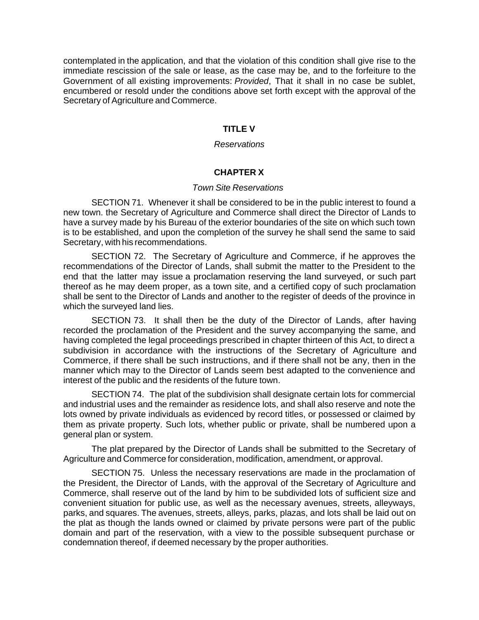contemplated in the application, and that the violation of this condition shall give rise to the immediate rescission of the sale or lease, as the case may be, and to the forfeiture to the Government of all existing improvements: *Provided*, That it shall in no case be sublet, encumbered or resold under the conditions above set forth except with the approval of the Secretary of Agriculture and Commerce.

## **TITLE V**

#### *Reservations*

## **CHAPTER X**

#### *Town Site Reservations*

SECTION 71. Whenever it shall be considered to be in the public interest to found a new town. the Secretary of Agriculture and Commerce shall direct the Director of Lands to have a survey made by his Bureau of the exterior boundaries of the site on which such town is to be established, and upon the completion of the survey he shall send the same to said Secretary, with his recommendations.

SECTION 72. The Secretary of Agriculture and Commerce, if he approves the recommendations of the Director of Lands, shall submit the matter to the President to the end that the latter may issue a proclamation reserving the land surveyed, or such part thereof as he may deem proper, as a town site, and a certified copy of such proclamation shall be sent to the Director of Lands and another to the register of deeds of the province in which the surveyed land lies.

SECTION 73. It shall then be the duty of the Director of Lands, after having recorded the proclamation of the President and the survey accompanying the same, and having completed the legal proceedings prescribed in chapter thirteen of this Act, to direct a subdivision in accordance with the instructions of the Secretary of Agriculture and Commerce, if there shall be such instructions, and if there shall not be any, then in the manner which may to the Director of Lands seem best adapted to the convenience and interest of the public and the residents of the future town.

SECTION 74. The plat of the subdivision shall designate certain lots for commercial and industrial uses and the remainder as residence lots, and shall also reserve and note the lots owned by private individuals as evidenced by record titles, or possessed or claimed by them as private property. Such lots, whether public or private, shall be numbered upon a general plan or system.

The plat prepared by the Director of Lands shall be submitted to the Secretary of Agriculture and Commerce for consideration, modification, amendment, or approval.

SECTION 75. Unless the necessary reservations are made in the proclamation of the President, the Director of Lands, with the approval of the Secretary of Agriculture and Commerce, shall reserve out of the land by him to be subdivided lots of sufficient size and convenient situation for public use, as well as the necessary avenues, streets, alleyways, parks, and squares. The avenues, streets, alleys, parks, plazas, and lots shall be laid out on the plat as though the lands owned or claimed by private persons were part of the public domain and part of the reservation, with a view to the possible subsequent purchase or condemnation thereof, if deemed necessary by the proper authorities.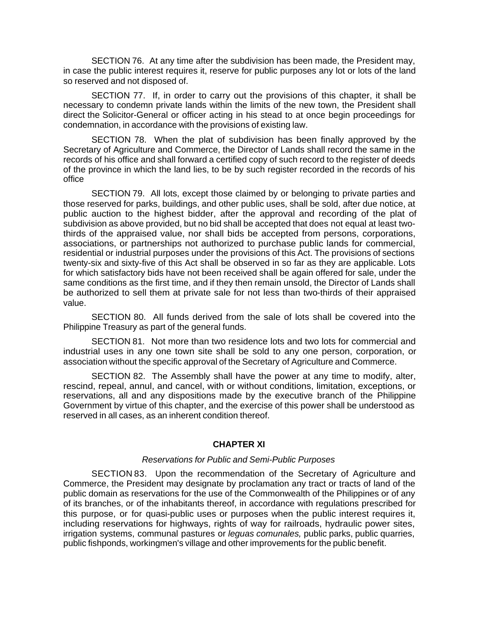SECTION 76. At any time after the subdivision has been made, the President may, in case the public interest requires it, reserve for public purposes any lot or lots of the land so reserved and not disposed of.

SECTION 77. If, in order to carry out the provisions of this chapter, it shall be necessary to condemn private lands within the limits of the new town, the President shall direct the Solicitor-General or officer acting in his stead to at once begin proceedings for condemnation, in accordance with the provisions of existing law.

SECTION 78. When the plat of subdivision has been finally approved by the Secretary of Agriculture and Commerce, the Director of Lands shall record the same in the records of his office and shall forward a certified copy of such record to the register of deeds of the province in which the land lies, to be by such register recorded in the records of his office

SECTION 79. All lots, except those claimed by or belonging to private parties and those reserved for parks, buildings, and other public uses, shall be sold, after due notice, at public auction to the highest bidder, after the approval and recording of the plat of subdivision as above provided, but no bid shall be accepted that does not equal at least twothirds of the appraised value, nor shall bids be accepted from persons, corporations, associations, or partnerships not authorized to purchase public lands for commercial, residential or industrial purposes under the provisions of this Act. The provisions of sections twenty-six and sixty-five of this Act shall be observed in so far as they are applicable. Lots for which satisfactory bids have not been received shall be again offered for sale, under the same conditions as the first time, and if they then remain unsold, the Director of Lands shall be authorized to sell them at private sale for not less than two-thirds of their appraised value.

SECTION 80. All funds derived from the sale of lots shall be covered into the Philippine Treasury as part of the general funds.

SECTION 81. Not more than two residence lots and two lots for commercial and industrial uses in any one town site shall be sold to any one person, corporation, or association without the specific approval of the Secretary of Agriculture and Commerce.

SECTION 82. The Assembly shall have the power at any time to modify, alter, rescind, repeal, annul, and cancel, with or without conditions, limitation, exceptions, or reservations, all and any dispositions made by the executive branch of the Philippine Government by virtue of this chapter, and the exercise of this power shall be understood as reserved in all cases, as an inherent condition thereof.

### **CHAPTER XI**

#### *Reservations for Public and Semi-Public Purposes*

SECTION 83. Upon the recommendation of the Secretary of Agriculture and Commerce, the President may designate by proclamation any tract or tracts of land of the public domain as reservations for the use of the Commonwealth of the Philippines or of any of its branches, or of the inhabitants thereof, in accordance with regulations prescribed for this purpose, or for quasi-public uses or purposes when the public interest requires it, including reservations for highways, rights of way for railroads, hydraulic power sites, irrigation systems, communal pastures or *leguas comunales,* public parks, public quarries, public fishponds, workingmen's village and other improvements for the public benefit.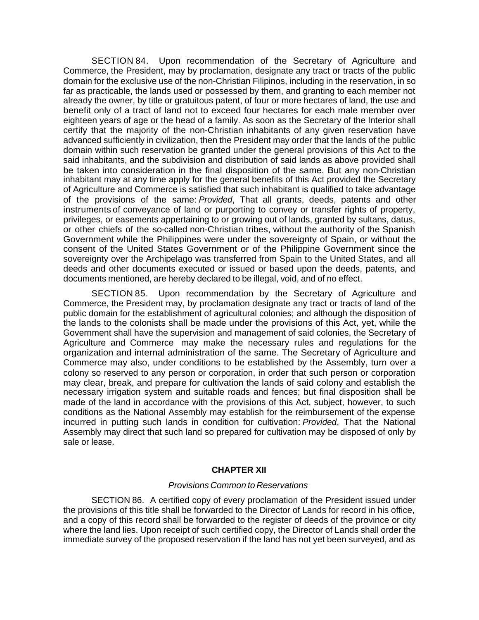SECTION 84. Upon recommendation of the Secretary of Agriculture and Commerce, the President, may by proclamation, designate any tract or tracts of the public domain for the exclusive use of the non-Christian Filipinos, including in the reservation, in so far as practicable, the lands used or possessed by them, and granting to each member not already the owner, by title or gratuitous patent, of four or more hectares of land, the use and benefit only of a tract of land not to exceed four hectares for each male member over eighteen years of age or the head of a family. As soon as the Secretary of the Interior shall certify that the majority of the non-Christian inhabitants of any given reservation have advanced sufficiently in civilization, then the President may order that the lands of the public domain within such reservation be granted under the general provisions of this Act to the said inhabitants, and the subdivision and distribution of said lands as above provided shall be taken into consideration in the final disposition of the same. But any non-Christian inhabitant may at any time apply for the general benefits of this Act provided the Secretary of Agriculture and Commerce is satisfied that such inhabitant is qualified to take advantage of the provisions of the same: *Provided*, That all grants, deeds, patents and other instruments of conveyance of land or purporting to convey or transfer rights of property, privileges, or easements appertaining to or growing out of lands, granted by sultans, datus, or other chiefs of the so-called non-Christian tribes, without the authority of the Spanish Government while the Philippines were under the sovereignty of Spain, or without the consent of the United States Government or of the Philippine Government since the sovereignty over the Archipelago was transferred from Spain to the United States, and all deeds and other documents executed or issued or based upon the deeds, patents, and documents mentioned, are hereby declared to be illegal, void, and of no effect.

SECTION 85. Upon recommendation by the Secretary of Agriculture and Commerce, the President may, by proclamation designate any tract or tracts of land of the public domain for the establishment of agricultural colonies; and although the disposition of the lands to the colonists shall be made under the provisions of this Act, yet, while the Government shall have the supervision and management of said colonies, the Secretary of Agriculture and Commerce may make the necessary rules and regulations for the organization and internal administration of the same. The Secretary of Agriculture and Commerce may also, under conditions to be established by the Assembly, turn over a colony so reserved to any person or corporation, in order that such person or corporation may clear, break, and prepare for cultivation the lands of said colony and establish the necessary irrigation system and suitable roads and fences; but final disposition shall be made of the land in accordance with the provisions of this Act, subject, however, to such conditions as the National Assembly may establish for the reimbursement of the expense incurred in putting such lands in condition for cultivation: *Provided*, That the National Assembly may direct that such land so prepared for cultivation may be disposed of only by sale or lease.

### **CHAPTER XII**

#### *Provisions Common to Reservations*

SECTION 86. A certified copy of every proclamation of the President issued under the provisions of this title shall be forwarded to the Director of Lands for record in his office, and a copy of this record shall be forwarded to the register of deeds of the province or city where the land lies. Upon receipt of such certified copy, the Director of Lands shall order the immediate survey of the proposed reservation if the land has not yet been surveyed, and as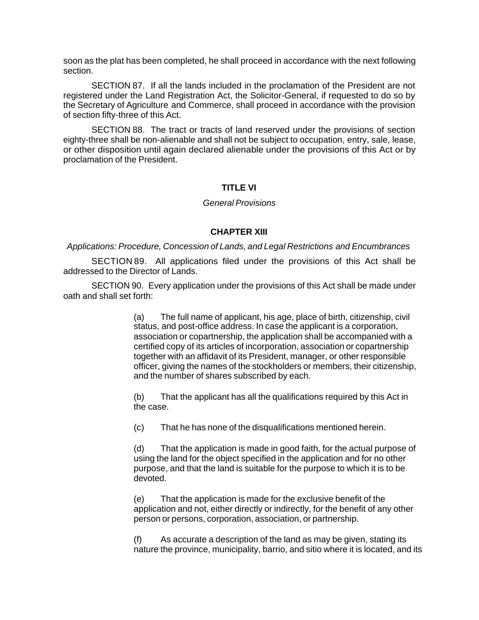soon as the plat has been completed, he shall proceed in accordance with the next following section.

SECTION 87. If all the lands included in the proclamation of the President are not registered under the Land Registration Act, the Solicitor-General, if requested to do so by the Secretary of Agriculture and Commerce, shall proceed in accordance with the provision of section fifty-three of this Act.

SECTION 88. The tract or tracts of land reserved under the provisions of section eighty-three shall be non-alienable and shall not be subject to occupation, entry, sale, lease, or other disposition until again declared alienable under the provisions of this Act or by proclamation of the President.

## **TITLE VI**

### *General Provisions*

### **CHAPTER XIII**

#### *Applications: Procedure, Concession of Lands, and Legal Restrictions and Encumbrances*

SECTION 89. All applications filed under the provisions of this Act shall be addressed to the Director of Lands.

SECTION 90. Every application under the provisions of this Act shall be made under oath and shall set forth:

> (a) The full name of applicant, his age, place of birth, citizenship, civil status, and post-office address. In case the applicant is a corporation, association or copartnership, the application shall be accompanied with a certified copy of its articles of incorporation, association or copartnership together with an affidavit of its President, manager, or other responsible officer, giving the names of the stockholders or members, their citizenship, and the number of shares subscribed by each.

(b) That the applicant has all the qualifications required by this Act in the case.

(c) That he has none of the disqualifications mentioned herein.

(d) That the application is made in good faith, for the actual purpose of using the land for the object specified in the application and for no other purpose, and that the land is suitable for the purpose to which it is to be devoted.

(e) That the application is made for the exclusive benefit of the application and not, either directly or indirectly, for the benefit of any other person or persons, corporation, association, or partnership.

(f) As accurate a description of the land as may be given, stating its nature the province, municipality, barrio, and sitio where it is located, and its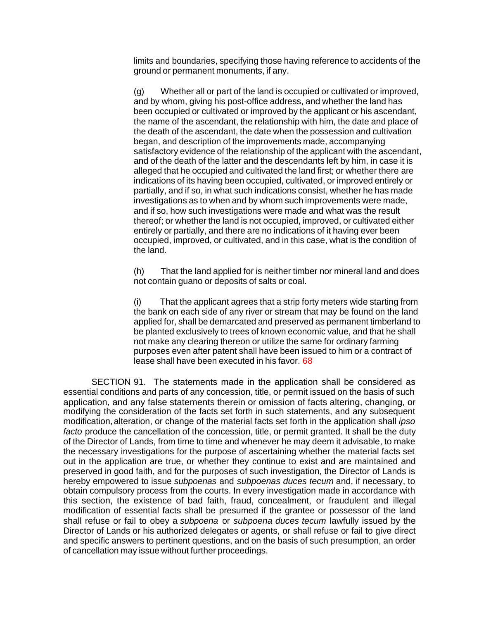limits and boundaries, specifying those having reference to accidents of the ground or permanent monuments, if any.

(g) Whether all or part of the land is occupied or cultivated or improved, and by whom, giving his post-office address, and whether the land has been occupied or cultivated or improved by the applicant or his ascendant, the name of the ascendant, the relationship with him, the date and place of the death of the ascendant, the date when the possession and cultivation began, and description of the improvements made, accompanying satisfactory evidence of the relationship of the applicant with the ascendant, and of the death of the latter and the descendants left by him, in case it is alleged that he occupied and cultivated the land first; or whether there are indications of its having been occupied, cultivated, or improved entirely or partially, and if so, in what such indications consist, whether he has made investigations as to when and by whom such improvements were made, and if so, how such investigations were made and what was the result thereof; or whether the land is not occupied, improved, or cultivated either entirely or partially, and there are no indications of it having ever been occupied, improved, or cultivated, and in this case, what is the condition of the land.

(h) That the land applied for is neither timber nor mineral land and does not contain guano or deposits of salts or coal.

(i) That the applicant agrees that a strip forty meters wide starting from the bank on each side of any river or stream that may be found on the land applied for, shall be demarcated and preserved as permanent timberland to be planted exclusively to trees of known economic value, and that he shall not make any clearing thereon or utilize the same for ordinary farming purposes even after patent shall have been issued to him or a contract of lease shall have been executed in his favor. 68

SECTION 91. The statements made in the application shall be considered as essential conditions and parts of any concession, title, or permit issued on the basis of such application, and any false statements therein or omission of facts altering, changing, or modifying the consideration of the facts set forth in such statements, and any subsequent modification, alteration, or change of the material facts set forth in the application shall *ipso facto* produce the cancellation of the concession, title, or permit granted. It shall be the duty of the Director of Lands, from time to time and whenever he may deem it advisable, to make the necessary investigations for the purpose of ascertaining whether the material facts set out in the application are true, or whether they continue to exist and are maintained and preserved in good faith, and for the purposes of such investigation, the Director of Lands is hereby empowered to issue *subpoenas* and *subpoenas duces tecum* and, if necessary, to obtain compulsory process from the courts. In every investigation made in accordance with this section, the existence of bad faith, fraud, concealment, or fraudulent and illegal modification of essential facts shall be presumed if the grantee or possessor of the land shall refuse or fail to obey a *subpoena* or *subpoena duces tecum* lawfully issued by the Director of Lands or his authorized delegates or agents, or shall refuse or fail to give direct and specific answers to pertinent questions, and on the basis of such presumption, an order of cancellation may issue without further proceedings.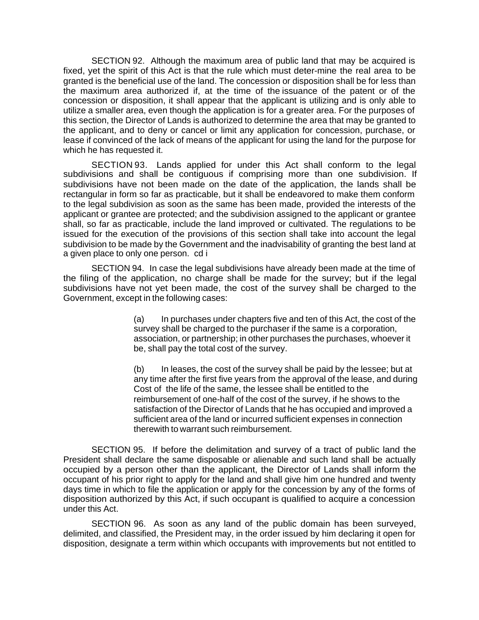SECTION 92. Although the maximum area of public land that may be acquired is fixed, yet the spirit of this Act is that the rule which must deter-mine the real area to be granted is the beneficial use of the land. The concession or disposition shall be for less than the maximum area authorized if, at the time of the issuance of the patent or of the concession or disposition, it shall appear that the applicant is utilizing and is only able to utilize a smaller area, even though the application is for a greater area. For the purposes of this section, the Director of Lands is authorized to determine the area that may be granted to the applicant, and to deny or cancel or limit any application for concession, purchase, or lease if convinced of the lack of means of the applicant for using the land for the purpose for which he has requested it.

SECTION 93. Lands applied for under this Act shall conform to the legal subdivisions and shall be contiguous if comprising more than one subdivision. If subdivisions have not been made on the date of the application, the lands shall be rectangular in form so far as practicable, but it shall be endeavored to make them conform to the legal subdivision as soon as the same has been made, provided the interests of the applicant or grantee are protected; and the subdivision assigned to the applicant or grantee shall, so far as practicable, include the land improved or cultivated. The regulations to be issued for the execution of the provisions of this section shall take into account the legal subdivision to be made by the Government and the inadvisability of granting the best land at a given place to only one person. cd i

SECTION 94. In case the legal subdivisions have already been made at the time of the filing of the application, no charge shall be made for the survey; but if the legal subdivisions have not yet been made, the cost of the survey shall be charged to the Government, except in the following cases:

> (a) In purchases under chapters five and ten of this Act, the cost of the survey shall be charged to the purchaser if the same is a corporation, association, or partnership; in other purchases the purchases, whoever it be, shall pay the total cost of the survey.

> (b) In leases, the cost of the survey shall be paid by the lessee; but at any time after the first five years from the approval of the lease, and during Cost of the life of the same, the lessee shall be entitled to the reimbursement of one-half of the cost of the survey, if he shows to the satisfaction of the Director of Lands that he has occupied and improved a sufficient area of the land or incurred sufficient expenses in connection therewith to warrant such reimbursement.

SECTION 95. If before the delimitation and survey of a tract of public land the President shall declare the same disposable or alienable and such land shall be actually occupied by a person other than the applicant, the Director of Lands shall inform the occupant of his prior right to apply for the land and shall give him one hundred and twenty days time in which to file the application or apply for the concession by any of the forms of disposition authorized by this Act, if such occupant is qualified to acquire a concession under this Act.

SECTION 96. As soon as any land of the public domain has been surveyed, delimited, and classified, the President may, in the order issued by him declaring it open for disposition, designate a term within which occupants with improvements but not entitled to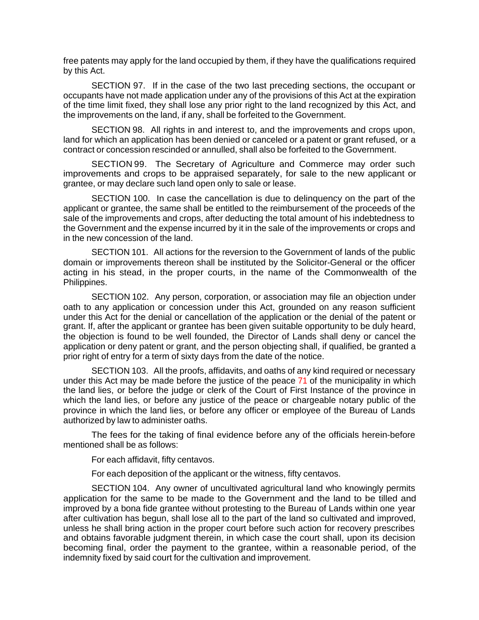free patents may apply for the land occupied by them, if they have the qualifications required by this Act.

SECTION 97. If in the case of the two last preceding sections, the occupant or occupants have not made application under any of the provisions of this Act at the expiration of the time limit fixed, they shall lose any prior right to the land recognized by this Act, and the improvements on the land, if any, shall be forfeited to the Government.

SECTION 98. All rights in and interest to, and the improvements and crops upon, land for which an application has been denied or canceled or a patent or grant refused, or a contract or concession rescinded or annulled, shall also be forfeited to the Government.

SECTION 99. The Secretary of Agriculture and Commerce may order such improvements and crops to be appraised separately, for sale to the new applicant or grantee, or may declare such land open only to sale or lease.

SECTION 100. In case the cancellation is due to delinquency on the part of the applicant or grantee, the same shall be entitled to the reimbursement of the proceeds of the sale of the improvements and crops, after deducting the total amount of his indebtedness to the Government and the expense incurred by it in the sale of the improvements or crops and in the new concession of the land.

SECTION 101. All actions for the reversion to the Government of lands of the public domain or improvements thereon shall be instituted by the Solicitor-General or the officer acting in his stead, in the proper courts, in the name of the Commonwealth of the Philippines.

SECTION 102. Any person, corporation, or association may file an objection under oath to any application or concession under this Act, grounded on any reason sufficient under this Act for the denial or cancellation of the application or the denial of the patent or grant. If, after the applicant or grantee has been given suitable opportunity to be duly heard, the objection is found to be well founded, the Director of Lands shall deny or cancel the application or deny patent or grant, and the person objecting shall, if qualified, be granted a prior right of entry for a term of sixty days from the date of the notice.

SECTION 103. All the proofs, affidavits, and oaths of any kind required or necessary under this Act may be made before the justice of the peace 71 of the municipality in which the land lies, or before the judge or clerk of the Court of First Instance of the province in which the land lies, or before any justice of the peace or chargeable notary public of the province in which the land lies, or before any officer or employee of the Bureau of Lands authorized by law to administer oaths.

The fees for the taking of final evidence before any of the officials herein-before mentioned shall be as follows:

For each affidavit, fifty centavos.

For each deposition of the applicant or the witness, fifty centavos.

SECTION 104. Any owner of uncultivated agricultural land who knowingly permits application for the same to be made to the Government and the land to be tilled and improved by a bona fide grantee without protesting to the Bureau of Lands within one year after cultivation has begun, shall lose all to the part of the land so cultivated and improved, unless he shall bring action in the proper court before such action for recovery prescribes and obtains favorable judgment therein, in which case the court shall, upon its decision becoming final, order the payment to the grantee, within a reasonable period, of the indemnity fixed by said court for the cultivation and improvement.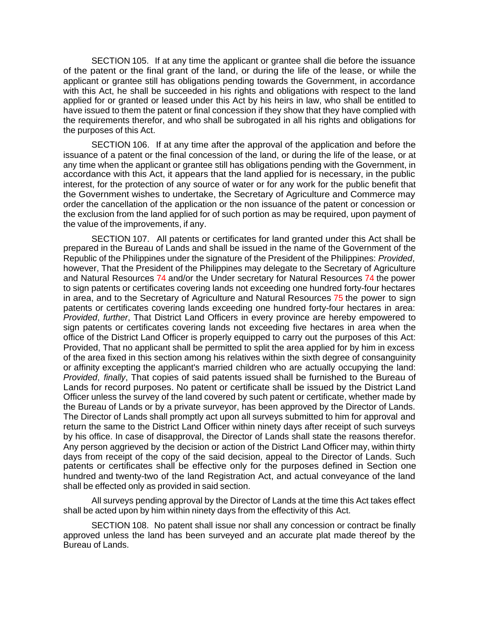SECTION 105. If at any time the applicant or grantee shall die before the issuance of the patent or the final grant of the land, or during the life of the lease, or while the applicant or grantee still has obligations pending towards the Government, in accordance with this Act, he shall be succeeded in his rights and obligations with respect to the land applied for or granted or leased under this Act by his heirs in law, who shall be entitled to have issued to them the patent or final concession if they show that they have complied with the requirements therefor, and who shall be subrogated in all his rights and obligations for the purposes of this Act.

SECTION 106. If at any time after the approval of the application and before the issuance of a patent or the final concession of the land, or during the life of the lease, or at any time when the applicant or grantee still has obligations pending with the Government, in accordance with this Act, it appears that the land applied for is necessary, in the public interest, for the protection of any source of water or for any work for the public benefit that the Government wishes to undertake, the Secretary of Agriculture and Commerce may order the cancellation of the application or the non issuance of the patent or concession or the exclusion from the land applied for of such portion as may be required, upon payment of the value of the improvements, if any.

SECTION 107. All patents or certificates for land granted under this Act shall be prepared in the Bureau of Lands and shall be issued in the name of the Government of the Republic of the Philippines under the signature of the President of the Philippines: *Provided*, however, That the President of the Philippines may delegate to the Secretary of Agriculture and Natural Resources 74 and/or the Under secretary for Natural Resources 74 the power to sign patents or certificates covering lands not exceeding one hundred forty-four hectares in area, and to the Secretary of Agriculture and Natural Resources 75 the power to sign patents or certificates covering lands exceeding one hundred forty-four hectares in area: *Provided*, *further*, That District Land Officers in every province are hereby empowered to sign patents or certificates covering lands not exceeding five hectares in area when the office of the District Land Officer is properly equipped to carry out the purposes of this Act: Provided, That no applicant shall be permitted to split the area applied for by him in excess of the area fixed in this section among his relatives within the sixth degree of consanguinity or affinity excepting the applicant's married children who are actually occupying the land: *Provided*, *finally*, That copies of said patents issued shall be furnished to the Bureau of Lands for record purposes. No patent or certificate shall be issued by the District Land Officer unless the survey of the land covered by such patent or certificate, whether made by the Bureau of Lands or by a private surveyor, has been approved by the Director of Lands. The Director of Lands shall promptly act upon all surveys submitted to him for approval and return the same to the District Land Officer within ninety days after receipt of such surveys by his office. In case of disapproval, the Director of Lands shall state the reasons therefor. Any person aggrieved by the decision or action of the District Land Officer may, within thirty days from receipt of the copy of the said decision, appeal to the Director of Lands. Such patents or certificates shall be effective only for the purposes defined in Section one hundred and twenty-two of the land Registration Act, and actual conveyance of the land shall be effected only as provided in said section.

All surveys pending approval by the Director of Lands at the time this Act takes effect shall be acted upon by him within ninety days from the effectivity of this Act.

SECTION 108. No patent shall issue nor shall any concession or contract be finally approved unless the land has been surveyed and an accurate plat made thereof by the Bureau of Lands.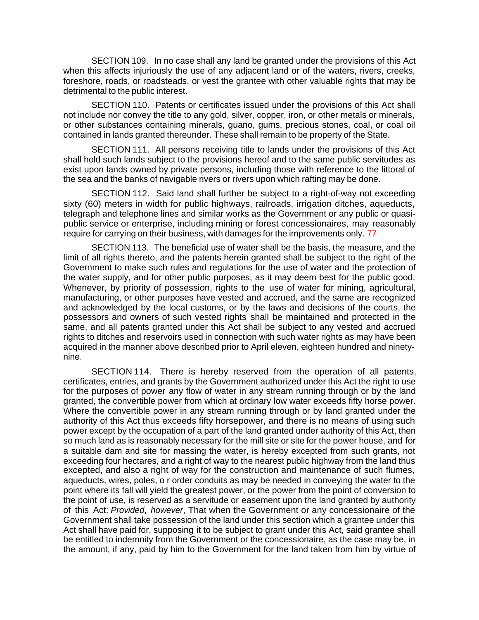SECTION 109. In no case shall any land be granted under the provisions of this Act when this affects injuriously the use of any adjacent land or of the waters, rivers, creeks, foreshore, roads, or roadsteads, or vest the grantee with other valuable rights that may be detrimental to the public interest.

SECTION 110. Patents or certificates issued under the provisions of this Act shall not include nor convey the title to any gold, silver, copper, iron, or other metals or minerals, or other substances containing minerals, guano, gums, precious stones, coal, or coal oil contained in lands granted thereunder. These shall remain to be property of the State.

SECTION 111. All persons receiving title to lands under the provisions of this Act shall hold such lands subject to the provisions hereof and to the same public servitudes as exist upon lands owned by private persons, including those with reference to the littoral of the sea and the banks of navigable rivers or rivers upon which rafting may be done.

SECTION 112. Said land shall further be subject to a right-of-way not exceeding sixty (60) meters in width for public highways, railroads, irrigation ditches, aqueducts, telegraph and telephone lines and similar works as the Government or any public or quasipublic service or enterprise, including mining or forest concessionaires, may reasonably require for carrying on their business, with damages for the improvements only. 77

SECTION 113. The beneficial use of water shall be the basis, the measure, and the limit of all rights thereto, and the patents herein granted shall be subject to the right of the Government to make such rules and regulations for the use of water and the protection of the water supply, and for other public purposes, as it may deem best for the public good. Whenever, by priority of possession, rights to the use of water for mining, agricultural, manufacturing, or other purposes have vested and accrued, and the same are recognized and acknowledged by the local customs, or by the laws and decisions of the courts, the possessors and owners of such vested rights shall be maintained and protected in the same, and all patents granted under this Act shall be subject to any vested and accrued rights to ditches and reservoirs used in connection with such water rights as may have been acquired in the manner above described prior to April eleven, eighteen hundred and ninetynine.

SECTION 114. There is hereby reserved from the operation of all patents, certificates, entries, and grants by the Government authorized under this Act the right to use for the purposes of power any flow of water in any stream running through or by the land granted, the convertible power from which at ordinary low water exceeds fifty horse power. Where the convertible power in any stream running through or by land granted under the authority of this Act thus exceeds fifty horsepower, and there is no means of using such power except by the occupation of a part of the land granted under authority of this Act, then so much land as is reasonably necessary for the mill site or site for the power house, and for a suitable dam and site for massing the water, is hereby excepted from such grants, not exceeding four hectares, and a right of way to the nearest public highway from the land thus excepted, and also a right of way for the construction and maintenance of such flumes, aqueducts, wires, poles, o r order conduits as may be needed in conveying the water to the point where its fall will yield the greatest power, or the power from the point of conversion to the point of use, is reserved as a servitude or easement upon the land granted by authority of this Act: *Provided*, *however*, That when the Government or any concessionaire of the Government shall take possession of the land under this section which a grantee under this Act shall have paid for, supposing it to be subject to grant under this Act, said grantee shall be entitled to indemnity from the Government or the concessionaire, as the case may be, in the amount, if any, paid by him to the Government for the land taken from him by virtue of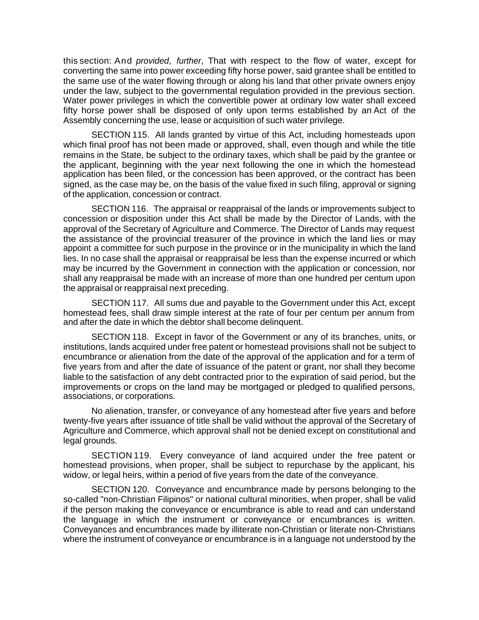this section: And *provided*, *further*, That with respect to the flow of water, except for converting the same into power exceeding fifty horse power, said grantee shall be entitled to the same use of the water flowing through or along his land that other private owners enjoy under the law, subject to the governmental regulation provided in the previous section. Water power privileges in which the convertible power at ordinary low water shall exceed fifty horse power shall be disposed of only upon terms established by an Act of the Assembly concerning the use, lease or acquisition of such water privilege.

SECTION 115. All lands granted by virtue of this Act, including homesteads upon which final proof has not been made or approved, shall, even though and while the title remains in the State, be subject to the ordinary taxes, which shall be paid by the grantee or the applicant, beginning with the year next following the one in which the homestead application has been filed, or the concession has been approved, or the contract has been signed, as the case may be, on the basis of the value fixed in such filing, approval or signing of the application, concession or contract.

SECTION 116. The appraisal or reappraisal of the lands or improvements subject to concession or disposition under this Act shall be made by the Director of Lands, with the approval of the Secretary of Agriculture and Commerce. The Director of Lands may request the assistance of the provincial treasurer of the province in which the land lies or may appoint a committee for such purpose in the province or in the municipality in which the land lies. In no case shall the appraisal or reappraisal be less than the expense incurred or which may be incurred by the Government in connection with the application or concession, nor shall any reappraisal be made with an increase of more than one hundred per centum upon the appraisal or reappraisal next preceding.

SECTION 117. All sums due and payable to the Government under this Act, except homestead fees, shall draw simple interest at the rate of four per centum per annum from and after the date in which the debtor shall become delinquent.

SECTION 118. Except in favor of the Government or any of its branches, units, or institutions, lands acquired under free patent or homestead provisions shall not be subject to encumbrance or alienation from the date of the approval of the application and for a term of five years from and after the date of issuance of the patent or grant, nor shall they become liable to the satisfaction of any debt contracted prior to the expiration of said period, but the improvements or crops on the land may be mortgaged or pledged to qualified persons, associations, or corporations.

No alienation, transfer, or conveyance of any homestead after five years and before twenty-five years after issuance of title shall be valid without the approval of the Secretary of Agriculture and Commerce, which approval shall not be denied except on constitutional and legal grounds.

SECTION 119. Every conveyance of land acquired under the free patent or homestead provisions, when proper, shall be subject to repurchase by the applicant, his widow, or legal heirs, within a period of five years from the date of the conveyance.

SECTION 120. Conveyance and encumbrance made by persons belonging to the so-called "non-Christian Filipinos" or national cultural minorities, when proper, shall be valid if the person making the conveyance or encumbrance is able to read and can understand the language in which the instrument or conveyance or encumbrances is written. Conveyances and encumbrances made by illiterate non-Christian or literate non-Christians where the instrument of conveyance or encumbrance is in a language not understood by the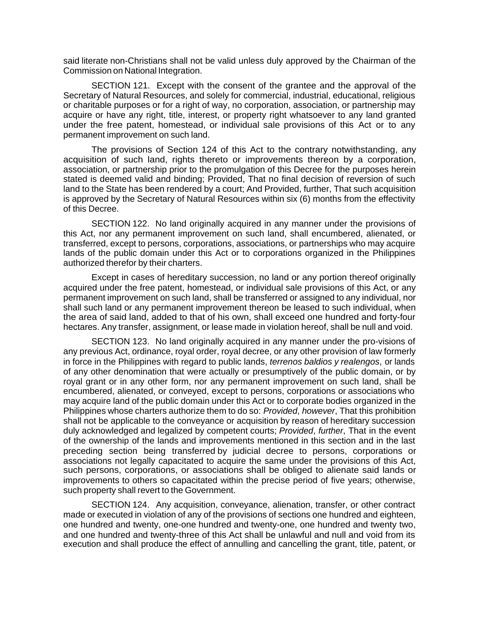said literate non-Christians shall not be valid unless duly approved by the Chairman of the Commission on National Integration.

SECTION 121. Except with the consent of the grantee and the approval of the Secretary of Natural Resources, and solely for commercial, industrial, educational, religious or charitable purposes or for a right of way, no corporation, association, or partnership may acquire or have any right, title, interest, or property right whatsoever to any land granted under the free patent, homestead, or individual sale provisions of this Act or to any permanent improvement on such land.

The provisions of Section 124 of this Act to the contrary notwithstanding, any acquisition of such land, rights thereto or improvements thereon by a corporation, association, or partnership prior to the promulgation of this Decree for the purposes herein stated is deemed valid and binding; Provided, That no final decision of reversion of such land to the State has been rendered by a court; And Provided, further, That such acquisition is approved by the Secretary of Natural Resources within six (6) months from the effectivity of this Decree.

SECTION 122. No land originally acquired in any manner under the provisions of this Act, nor any permanent improvement on such land, shall encumbered, alienated, or transferred, except to persons, corporations, associations, or partnerships who may acquire lands of the public domain under this Act or to corporations organized in the Philippines authorized therefor by their charters.

Except in cases of hereditary succession, no land or any portion thereof originally acquired under the free patent, homestead, or individual sale provisions of this Act, or any permanent improvement on such land, shall be transferred or assigned to any individual, nor shall such land or any permanent improvement thereon be leased to such individual, when the area of said land, added to that of his own, shall exceed one hundred and forty-four hectares. Any transfer, assignment, or lease made in violation hereof, shall be null and void.

SECTION 123. No land originally acquired in any manner under the pro-visions of any previous Act, ordinance, royal order, royal decree, or any other provision of law formerly in force in the Philippines with regard to public lands, *terrenos baldios y realengos*, or lands of any other denomination that were actually or presumptively of the public domain, or by royal grant or in any other form, nor any permanent improvement on such land, shall be encumbered, alienated, or conveyed, except to persons, corporations or associations who may acquire land of the public domain under this Act or to corporate bodies organized in the Philippines whose charters authorize them to do so: *Provided*, *however*, That this prohibition shall not be applicable to the conveyance or acquisition by reason of hereditary succession duly acknowledged and legalized by competent courts; *Provided*, *further*, That in the event of the ownership of the lands and improvements mentioned in this section and in the last preceding section being transferred by judicial decree to persons, corporations or associations not legally capacitated to acquire the same under the provisions of this Act, such persons, corporations, or associations shall be obliged to alienate said lands or improvements to others so capacitated within the precise period of five years; otherwise, such property shall revert to the Government.

SECTION 124. Any acquisition, conveyance, alienation, transfer, or other contract made or executed in violation of any of the provisions of sections one hundred and eighteen, one hundred and twenty, one-one hundred and twenty-one, one hundred and twenty two, and one hundred and twenty-three of this Act shall be unlawful and null and void from its execution and shall produce the effect of annulling and cancelling the grant, title, patent, or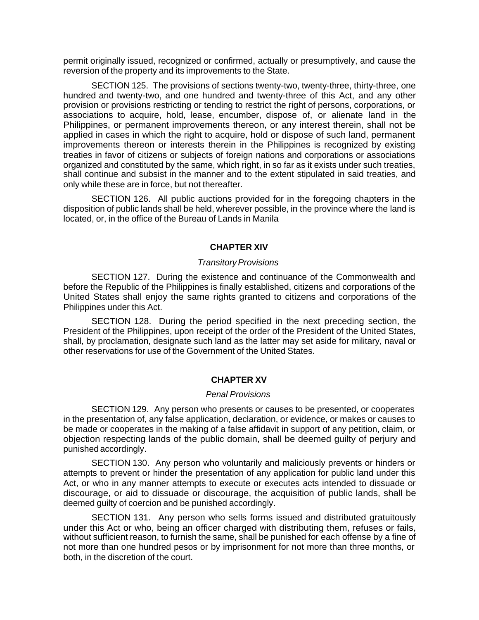permit originally issued, recognized or confirmed, actually or presumptively, and cause the reversion of the property and its improvements to the State.

SECTION 125. The provisions of sections twenty-two, twenty-three, thirty-three, one hundred and twenty-two, and one hundred and twenty-three of this Act, and any other provision or provisions restricting or tending to restrict the right of persons, corporations, or associations to acquire, hold, lease, encumber, dispose of, or alienate land in the Philippines, or permanent improvements thereon, or any interest therein, shall not be applied in cases in which the right to acquire, hold or dispose of such land, permanent improvements thereon or interests therein in the Philippines is recognized by existing treaties in favor of citizens or subjects of foreign nations and corporations or associations organized and constituted by the same, which right, in so far as it exists under such treaties, shall continue and subsist in the manner and to the extent stipulated in said treaties, and only while these are in force, but not thereafter.

SECTION 126. All public auctions provided for in the foregoing chapters in the disposition of public lands shall be held, wherever possible, in the province where the land is located, or, in the office of the Bureau of Lands in Manila

## **CHAPTER XIV**

### *Transitory Provisions*

SECTION 127. During the existence and continuance of the Commonwealth and before the Republic of the Philippines is finally established, citizens and corporations of the United States shall enjoy the same rights granted to citizens and corporations of the Philippines under this Act.

SECTION 128. During the period specified in the next preceding section, the President of the Philippines, upon receipt of the order of the President of the United States, shall, by proclamation, designate such land as the latter may set aside for military, naval or other reservations for use of the Government of the United States.

### **CHAPTER XV**

### *Penal Provisions*

SECTION 129. Any person who presents or causes to be presented, or cooperates in the presentation of, any false application, declaration, or evidence, or makes or causes to be made or cooperates in the making of a false affidavit in support of any petition, claim, or objection respecting lands of the public domain, shall be deemed guilty of perjury and punished accordingly.

SECTION 130. Any person who voluntarily and maliciously prevents or hinders or attempts to prevent or hinder the presentation of any application for public land under this Act, or who in any manner attempts to execute or executes acts intended to dissuade or discourage, or aid to dissuade or discourage, the acquisition of public lands, shall be deemed guilty of coercion and be punished accordingly.

SECTION 131. Any person who sells forms issued and distributed gratuitously under this Act or who, being an officer charged with distributing them, refuses or fails, without sufficient reason, to furnish the same, shall be punished for each offense by a fine of not more than one hundred pesos or by imprisonment for not more than three months, or both, in the discretion of the court.